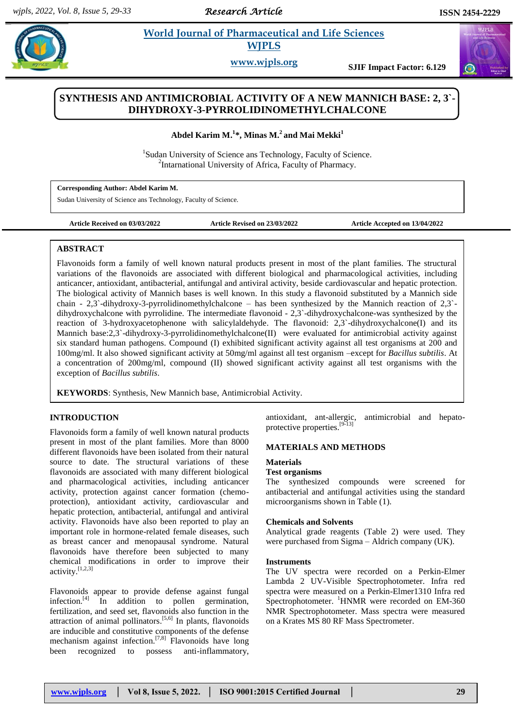*Research Article* 

# **Abdel** *E**World Journal of Pharmaceutical and Life Sciences* **<b>***College Contract and Life Sciences* **WJPLS**

**www.wjpls.org SJIF Impact Factor: 6.129**

# **SYNTHESIS AND ANTIMICROBIAL ACTIVITY OF A NEW MANNICH BASE: 2, 3`- DIHYDROXY-3-PYRROLIDINOMETHYLCHALCONE**

**Abdel Karim M.<sup>1</sup> \*, Minas M.<sup>2</sup> and Mai Mekki<sup>1</sup>**

<sup>1</sup>Sudan University of Science ans Technology, Faculty of Science. <sup>2</sup>Intarnational University of Africa, Faculty of Pharmacy.

**Corresponding Author: Abdel Karim M.**

Sudan University of Science ans Technology, Faculty of Science.

**Article Received on 03/03/2022 Article Revised on 23/03/2022 Article Accepted on 13/04/2022**

# **ABSTRACT**

Flavonoids form a family of well known natural products present in most of the plant families. The structural variations of the flavonoids are associated with different biological and pharmacological activities, including anticancer, antioxidant, antibacterial, antifungal and antiviral activity, beside cardiovascular and hepatic protection. The biological activity of Mannich bases is well known. In this study a flavonoid substituted by a Mannich side chain - 2,3`-dihydroxy-3-pyrrolidinomethylchalcone – has been synthesized by the Mannich reaction of 2,3` dihydroxychalcone with pyrrolidine. The intermediate flavonoid - 2,3`-dihydroxychalcone-was synthesized by the reaction of 3-hydroxyacetophenone with salicylaldehyde. The flavonoid: 2,3`-dihydroxychalcone(I) and its Mannich base:2,3`-dihydroxy-3-pyrrolidinomethylchalcone(II) were evaluated for antimicrobial activity against six standard human pathogens. Compound (I) exhibited significant activity against all test organisms at 200 and 100mg/ml. It also showed significant activity at 50mg/ml against all test organism –except for *Bacillus subtilis*. At a concentration of 200mg/ml, compound (II) showed significant activity against all test organisms with the exception of *Bacillus subtilis*.

**KEYWORDS**: Synthesis, New Mannich base, Antimicrobial Activity.

# **INTRODUCTION**

Flavonoids form a family of well known natural products present in most of the plant families. More than 8000 different flavonoids have been isolated from their natural source to date. The structural variations of these flavonoids are associated with many different biological and pharmacological activities, including anticancer activity, protection against cancer formation (chemoprotection), antioxidant activity, cardiovascular and hepatic protection, antibacterial, antifungal and antiviral activity. Flavonoids have also been reported to play an important role in hormone-related female diseases, such as breast cancer and menopausal syndrome. Natural flavonoids have therefore been subjected to many chemical modifications in order to improve their activity.[1,2,3]

Flavonoids appear to provide defense against fungal infection.<sup>[4]</sup> In addition to pollen germination, fertilization, and seed set, flavonoids also function in the attraction of animal pollinators.<sup>[5,6]</sup> In plants, flavonoids are inducible and constitutive components of the defense mechanism against infection.<sup>[7,8]</sup> Flavonoids have long been recognized to possess anti-inflammatory,

antioxidant, ant-allergic, antimicrobial and hepatoprotective properties.<sup>[9-13]</sup>

# **MATERIALS AND METHODS**

# **Materials**

# **Test organisms**

The synthesized compounds were screened for antibacterial and antifungal activities using the standard microorganisms shown in Table (1).

### **Chemicals and Solvents**

Analytical grade reagents (Table 2) were used. They were purchased from Sigma – Aldrich company (UK).

#### **Instruments**

The UV spectra were recorded on a Perkin-Elmer Lambda 2 UV-Visible Spectrophotometer. Infra red spectra were measured on a Perkin-Elmer1310 Infra red Spectrophotometer.  $\frac{1}{1}$ HNMR were recorded on EM-360 NMR Spectrophotometer. Mass spectra were measured on a Krates MS 80 RF Mass Spectrometer.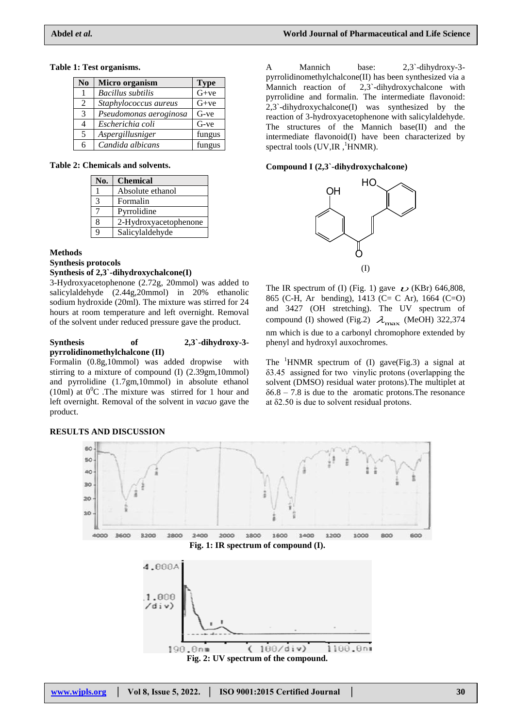#### **Table 1: Test organisms.**

| N <sub>0</sub> | Micro organism           | <b>Type</b> |
|----------------|--------------------------|-------------|
| 1              | <b>Bacillus</b> subtilis | $G+ve$      |
| $\overline{2}$ | Staphylococcus aureus    | $G+ve$      |
| 3              | Pseudomonas aeroginosa   | $G$ -ve     |
| 4              | Escherichia coli         | G-ve        |
| 5              | Aspergillusniger         | fungus      |
| 6              | Candida albicans         | fungus      |

**Table 2: Chemicals and solvents.**

| No. | <b>Chemical</b>       |
|-----|-----------------------|
|     | Absolute ethanol      |
| 3   | Formalin              |
|     | Pyrrolidine           |
| 8   | 2-Hydroxyacetophenone |
| q   | Salicylaldehyde       |

#### **Methods**

**Synthesis protocols**

#### **Synthesis of 2,3`-dihydroxychalcone(I)**

3-Hydroxyacetophenone (2.72g, 20mmol) was added to salicylaldehyde (2.44g,20mmol) in 20% ethanolic sodium hydroxide (20ml). The mixture was stirred for 24 hours at room temperature and left overnight. Removal of the solvent under reduced pressure gave the product.

#### **Synthesis of 2,3`-dihydroxy-3 pyrrolidinomethylchalcone (II)**

Formalin (0.8g,10mmol) was added dropwise with stirring to a mixture of compound (I) (2.39gm,10mmol) and pyrrolidine (1.7gm,10mmol) in absolute ethanol (10ml) at  $0^0$ C. The mixture was stirred for 1 hour and left overnight. Removal of the solvent in *vacuo* gave the product.



#### **RESULTS AND DISCUSSION**

A Mannich base: 2,3`-dihydroxy-3 pyrrolidinomethylchalcone(II) has been synthesized via a Mannich reaction of 2,3`-dihydroxychalcone with pyrrolidine and formalin. The intermediate flavonoid: 2,3`-dihydroxychalcone(I) was synthesized by the reaction of 3-hydroxyacetophenone with salicylaldehyde. The structures of the Mannich base(II) and the intermediate flavonoid(I) have been characterized by spectral tools  $(UV,IR,$ <sup>1</sup>HNMR).

#### **Compound I (2,3`-dihydroxychalcone)**



The IR spectrum of (I) (Fig. 1) gave  $\sim$  (KBr) 646,808, 865 (C-H, Ar bending), 1413 (C= C Ar), 1664 (C=O) and 3427 (OH stretching). The UV spectrum of compound (I) showed (Fig.2)  $\lambda_{\text{max}}$  (MeOH) 322,374 nm which is due to a carbonyl chromophore extended by phenyl and hydroxyl auxochromes.

The  ${}^{1}$ HNMR spectrum of (I) gave(Fig.3) a signal at δ3.45 assigned for two vinylic protons (overlapping the solvent (DMSO) residual water protons).The multiplet at  $\delta$ 6.8 – 7.8 is due to the aromatic protons. The resonance at δ2.50 is due to solvent residual protons.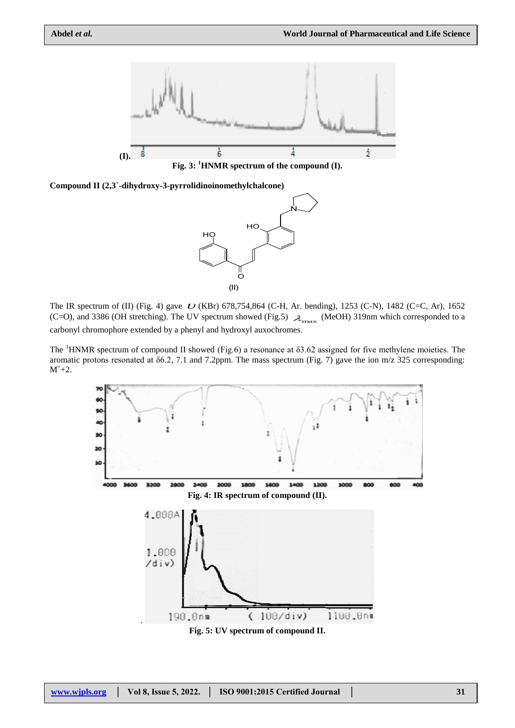

**Fig. 3: <sup>1</sup>HNMR spectrum of the compound (I).**





The IR spectrum of (II) (Fig. 4) gave  $U$  (KBr) 678,754,864 (C-H, Ar. bending), 1253 (C-N), 1482 (C=C, Ar), 1652 (C=O), and 3386 (OH stretching). The UV spectrum showed (Fig.5)  $\lambda_{\text{max}}$  (MeOH) 319nm which corresponded to a carbonyl chromophore extended by a phenyl and hydroxyl auxochromes.

The  ${}^{1}$ HNMR spectrum of compound II showed (Fig.6) a resonance at  $\delta$ 3.62 assigned for five methylene moieties. The aromatic protons resonated at δ6.2, 7.1 and 7.2ppm. The mass spectrum (Fig. 7) gave the ion m/z 325 corresponding:  $M^+ + 2.$ 



**Fig. 5: UV spectrum of compound II.**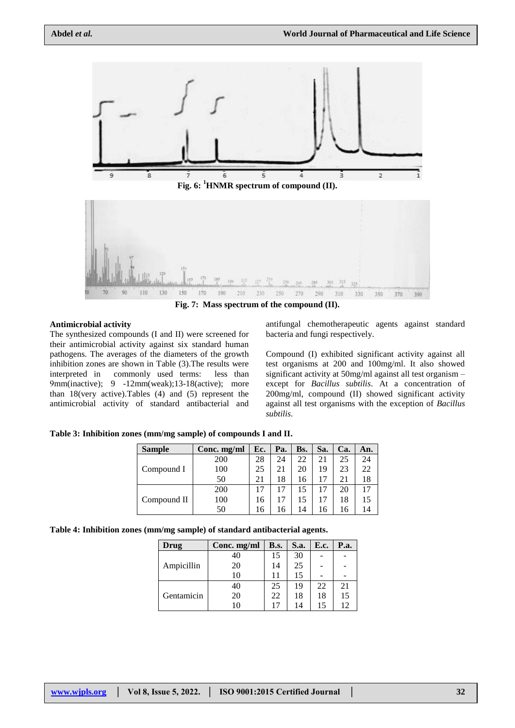

#### **Antimicrobial activity**

The synthesized compounds (I and II) were screened for their antimicrobial activity against six standard human pathogens. The averages of the diameters of the growth inhibition zones are shown in Table (3).The results were interpreted in commonly used terms: less than 9mm(inactive); 9 -12mm(weak);13-18(active); more than 18(very active).Tables (4) and (5) represent the antimicrobial activity of standard antibacterial and

antifungal chemotherapeutic agents against standard bacteria and fungi respectively.

Compound (I) exhibited significant activity against all test organisms at 200 and 100mg/ml. It also showed significant activity at 50mg/ml against all test organism – except for *Bacillus subtilis*. At a concentration of 200mg/ml, compound (II) showed significant activity against all test organisms with the exception of *Bacillus subtilis*.

**Table 3: Inhibition zones (mm/mg sample) of compounds I and II.**

| <b>Sample</b> | Conc. mg/ml | Ec. | Pa. | Bs. | Sa. | Ca. | An. |
|---------------|-------------|-----|-----|-----|-----|-----|-----|
|               | 200         | 28  | 24  | 22  | 21  | 25  | 24  |
| Compound I    | 100         | 25  | 21  | 20  | 19  | 23  | 22  |
|               | 50          | 21  | 18  | 16  |     | 21  | 18  |
|               | 200         | 17  |     |     |     | 20  | 17  |
| Compound II   | 100         | 16  |     |     |     | 18  | 15  |
|               | 50          | 16  | 16  | 14  | 6   | 16  | 14  |

| Table 4: Inhibition zones (mm/mg sample) of standard antibacterial agents. |  |  |  |  |
|----------------------------------------------------------------------------|--|--|--|--|
|----------------------------------------------------------------------------|--|--|--|--|

| Drug       | Conc. mg/ml | B.s. | S.a. | E.c. | P.a. |
|------------|-------------|------|------|------|------|
| Ampicillin | 40          | 15   | 30   |      |      |
|            | 20          | 14   | 25   |      |      |
|            | 10          | 11   | 15   |      |      |
|            | 40          | 25   | 19   | 22   | 21   |
| Gentamicin | 20          | 22   | 18   | 18   | 15   |
|            |             | 17   | 14   | 15   | 12   |